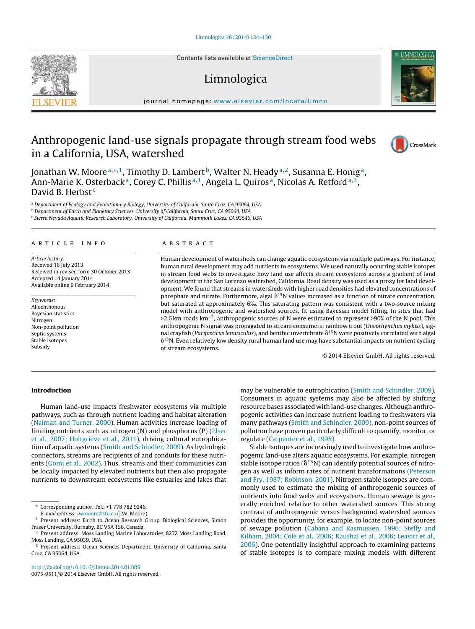Contents lists available at [ScienceDirect](http://www.sciencedirect.com/science/journal/00759511)

# Limnologica

iournal homepage: [www.elsevier.com/locate/limno](http://www.elsevier.com/locate/limno)

## Anthropogenic land-use signals propagate through stream food webs in a California, USA, watershed

Jonathan W. Moore<sup>a,\*,1</sup>, Timothy D. Lambert<sup>b</sup>, Walter N. Heady<sup>a,2</sup>, Susanna E. Honig<sup>a</sup>, Ann-Marie K. Osterback<sup>a</sup>, Corey C. Phillis<sup>a, 1</sup>, Angela L. Quiros<sup>a</sup>, Nicolas A. Retford<sup>a, 3</sup>, David B. Herbst<sup>c</sup>

<sup>a</sup> Department of Ecology and Evolutionary Biology, University of California, Santa Cruz, CA 95064, USA

<sup>b</sup> Department of Earth and Planetary Sciences, University of California, Santa Cruz, CA 95064, USA

<sup>c</sup> Sierra Nevada Aquatic Research Laboratory, University of California, Mammoth Lakes, CA 93546, USA

#### a r t i c l e i n f o

Article history: Received 16 July 2013 Received in revised form 30 October 2013 Accepted 14 January 2014 Available online 9 February 2014

Keywords: Allochthonous Bayesian statistics Nitrogen Non-point pollution Septic systems Stable isotopes Subsidy

#### A B S T R A C T

Human development of watersheds can change aquatic ecosystems via multiple pathways. For instance, human rural development may add nutrients to ecosystems. We used naturally occurring stable isotopes in stream food webs to investigate how land use affects stream ecosystems across a gradient of land development in the San Lorenzo watershed, California. Road density was used as a proxy for land development. We found that streams in watersheds with higher road densities had elevated concentrations of phosphate and nitrate. Furthermore, algal  $\delta^{15}N$  values increased as a function of nitrate concentration, but saturated at approximately <sup>6</sup>‰. This saturating pattern was consistent with <sup>a</sup> two-source mixing model with anthropogenic and watershed sources, fit using Bayesian model fitting. In sites that had >2.6 km roads km−2, anthropogenic sources of N were estimated to represent >90% of the N pool. This anthropogenic N signal was propagated to stream consumers: rainbow trout (Oncorhynchus mykiss), signal crayfish (*Pacifasticus leniusculus*), and benthic invertebrate  $\delta^{15}$ N were positively correlated with algal  $\delta^{15}$ N. Even relatively low density rural human land use may have substantial impacts on nutrient cycling of stream ecosystems.

© 2014 Elsevier GmbH. All rights reserved.

### **Introduction**

Human land-use impacts freshwater ecosystems via multiple pathways, such as through nutrient loading and habitat alteration ([Naiman](#page-6-0) [and](#page-6-0) [Turner,](#page-6-0) [2000\).](#page-6-0) Human activities increase loading of limiting nutrients such as nitrogen (N) and phosphorus (P) ([Elser](#page-6-0) et [al.,](#page-6-0) [2007;](#page-6-0) [Holtgrieve](#page-6-0) et [al.,](#page-6-0) [2011\),](#page-6-0) driving cultural eutrophication of aquatic systems ([Smith](#page-6-0) [and](#page-6-0) [Schindler,](#page-6-0) [2009\).](#page-6-0) As hydrologic connectors, streams are recipients of and conduits for these nutrients [\(Gomi](#page-6-0) et [al.,](#page-6-0) [2002\).](#page-6-0) Thus, streams and their communities can be locally impacted by elevated nutrients but then also propagate nutrients to downstream ecosystems like estuaries and lakes that

∗ Corresponding author. Tel.: +1 778 782 9246.

E-mail address: [jwmoore@sfu.ca](mailto:jwmoore@sfu.ca) (J.W. Moore).

[http://dx.doi.org/10.1016/j.limno.2014.01.005](dx.doi.org/10.1016/j.limno.2014.01.005)

0075-9511/© 2014 Elsevier GmbH. All rights reserved.

may be vulnerable to eutrophication ([Smith](#page-6-0) [and](#page-6-0) [Schindler,](#page-6-0) [2009\).](#page-6-0) Consumers in aquatic systems may also be affected by shifting resource bases associated with land-use changes. Although anthropogenic activities can increase nutrient loading to freshwaters via many pathways [\(Smith](#page-6-0) [and](#page-6-0) [Schindler,](#page-6-0) [2009\),](#page-6-0) non-point sources of pollution have proven particularly difficult to quantify, monitor, or regulate [\(Carpenter](#page-5-0) et [al.,](#page-5-0) [1998\).](#page-5-0)

Stable isotopes are increasingly used to investigate how anthropogenic land-use alters aquatic ecosystems. For example, nitrogen stable isotope ratios ( $\delta^{15}N$ ) can identify potential sources of nitrogen as well as inform rates of nutrient transformations ([Peterson](#page-6-0) [and](#page-6-0) [Fry,](#page-6-0) [1987;](#page-6-0) [Robinson,](#page-6-0) [2001\).](#page-6-0) Nitrogen stable isotopes are commonly used to estimate the mixing of anthropogenic sources of nutrients into food webs and ecosystems. Human sewage is generally enriched relative to other watershed sources. This strong contrast of anthropogenic versus background watershed sources provides the opportunity, for example, to locate non-point sources of sewage pollution ([Cabana](#page-5-0) [and](#page-5-0) [Rasmussen,](#page-5-0) [1996;](#page-5-0) [Steffy](#page-5-0) [and](#page-5-0) [Kilham,](#page-5-0) [2004;](#page-5-0) [Cole](#page-5-0) et [al.,](#page-5-0) [2006;](#page-5-0) [Kaushal](#page-5-0) et [al.,](#page-5-0) [2006;](#page-5-0) [Leavitt](#page-5-0) et [al.,](#page-5-0) [2006\).](#page-5-0) One potentially insightful approach to examining patterns of stable isotopes is to compare mixing models with different





CrossMark

<sup>&</sup>lt;sup>1</sup> Present address: Earth to Ocean Research Group, Biological Sciences, Simon Fraser University, Burnaby, BC V5A 1S6, Canada.

<sup>2</sup> Present address: Moss Landing Marine Laboratories, 8272 Moss Landing Road, Moss Landing, CA 95039, USA.

<sup>&</sup>lt;sup>3</sup> Present address: Ocean Sciences Department, University of California, Santa Cruz, CA 95064, USA.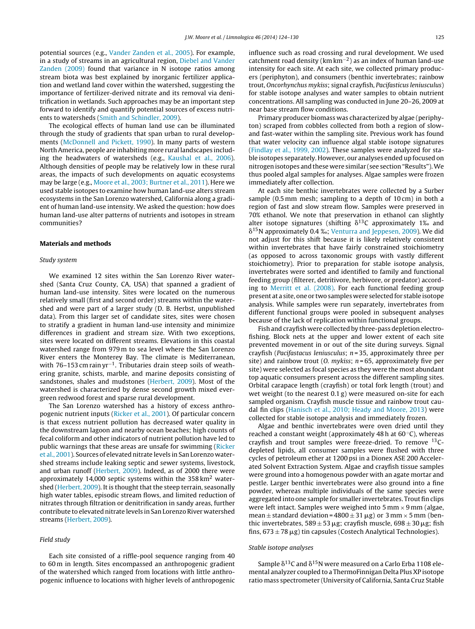potential sources (e.g., [Vander](#page-6-0) [Zanden](#page-6-0) et [al.,](#page-6-0) [2005\).](#page-6-0) For example, in a study of streams in an agricultural region, [Diebel](#page-6-0) [and](#page-6-0) [Vander](#page-6-0) [Zanden](#page-6-0) [\(2009\)](#page-6-0) found that variance in N isotope ratios among stream biota was best explained by inorganic fertilizer application and wetland land cover within the watershed, suggesting the importance of fertilizer-derived nitrate and its removal via denitrification in wetlands. Such approaches may be an important step forward to identify and quantify potential sources of excess nutrients to watersheds ([Smith](#page-6-0) [and](#page-6-0) [Schindler,](#page-6-0) [2009\).](#page-6-0)

The ecological effects of human land use can be illuminated through the study of gradients that span urban to rural developments ([McDonnell](#page-6-0) [and](#page-6-0) [Pickett,](#page-6-0) [1990\).](#page-6-0) In many parts of western NorthAmerica, people are inhabiting more rural landscapes including the headwaters of watersheds (e.g., [Kaushal](#page-6-0) et [al.,](#page-6-0) [2006\).](#page-6-0) Although densities of people may be relatively low in these rural areas, the impacts of such developments on aquatic ecosystems may be large (e.g., [Moore](#page-6-0) et [al.,](#page-6-0) [2003;](#page-6-0) [Burtner](#page-6-0) et [al.,](#page-6-0) [2011\).](#page-6-0) Here we used stable isotopes to examine how human land-use alters stream ecosystems in the San Lorenzo watershed, California along a gradient of human land-use intensity. We asked the question: how does human land-use alter patterns of nutrients and isotopes in stream communities?

#### **Materials and methods**

#### Study system

We examined 12 sites within the San Lorenzo River watershed (Santa Cruz County, CA, USA) that spanned a gradient of human land-use intensity. Sites were located on the numerous relatively small (first and second order) streams within the watershed and were part of a larger study (D. B. Herbst, unpublished data). From this larger set of candidate sites, sites were chosen to stratify a gradient in human land-use intensity and minimize differences in gradient and stream size. With two exceptions, sites were located on different streams. Elevations in this coastal watershed range from 979 m to sea level where the San Lorenzo River enters the Monterey Bay. The climate is Mediterranean, with 76–153 cm rain yr<sup>−1</sup>. Tributaries drain steep soils of weathering granite, schists, marble, and marine deposits consisting of sandstones, shales and mudstones ([Herbert,](#page-6-0) [2009\).](#page-6-0) Most of the watershed is characterized by dense second growth mixed evergreen redwood forest and sparse rural development.

The San Lorenzo watershed has a history of excess anthropogenic nutrient inputs [\(Ricker](#page-6-0) et [al.,](#page-6-0) [2001\).](#page-6-0) Of particular concern is that excess nutrient pollution has decreased water quality in the downstream lagoon and nearby ocean beaches; high counts of fecal coliform and other indicators of nutrient pollution have led to public warnings that these areas are unsafe for swimming [\(Ricker](#page-6-0) et [al.,](#page-6-0) [2001\).](#page-6-0) Sources of elevated nitrate levels in San Lorenzo watershed streams include leaking septic and sewer systems, livestock, and urban runoff [\(Herbert,](#page-6-0) [2009\).](#page-6-0) Indeed, as of 2000 there were approximately 14,000 septic systems within the  $358 \text{ km}^2$  watershed [\(Herbert,](#page-6-0) [2009\).](#page-6-0) It is thought that the steep terrain, seasonally high water tables, episodic stream flows, and limited reduction of nitrates through filtration or denitrification in sandy areas, further contribute to elevated nitrate levels in San Lorenzo River watershed streams [\(Herbert,](#page-6-0) [2009\).](#page-6-0)

#### Field study

Each site consisted of a riffle-pool sequence ranging from 40 to 60 m in length. Sites encompassed an anthropogenic gradient of the watershed which ranged from locations with little anthropogenic influence to locations with higher levels of anthropogenic influence such as road crossing and rural development. We used catchment road density (km km−2) as an index of human land-use intensity for each site. At each site, we collected primary producers (periphyton), and consumers (benthic invertebrates; rainbow trout, Oncorhynchus mykiss; signal crayfish, Pacifasticus leniusculus) for stable isotope analyses and water samples to obtain nutrient concentrations. All sampling was conducted in June 20–26, 2009 at near base stream flow conditions.

Primary producer biomass was characterized by algae (periphyton) scraped from cobbles collected from both a region of slowand fast-water within the sampling site. Previous work has found that water velocity can influence algal stable isotope signatures [\(Findlay](#page-6-0) et [al.,](#page-6-0) [1999,](#page-6-0) [2002\).](#page-6-0) These samples were analyzed for stable isotopes separately. However, our analyses ended up focused on nitrogen isotopes and these were similar (see section "Results").We thus pooled algal samples for analyses. Algae samples were frozen immediately after collection.

At each site benthic invertebrates were collected by a Surber sample (0.5 mm mesh; sampling to a depth of 10 cm) in both a region of fast and slow stream flow. Samples were preserved in 70% ethanol. We note that preservation in ethanol can slightly alter isotope signatures (shifting  $\delta^{13}$ C approximately 1‰ and  $\delta^{15}$ N approximately 0.4 % J Medid  $\delta^{15}$ N approximately 0.4 ‰; [Venturra](#page-6-0) [and](#page-6-0) [Jeppesen,](#page-6-0) [2009\).](#page-6-0) We did  $\delta^{15}$ N approximately  $\delta^{15}$  of this shift because it is likely relatively consistent not adjust for this shift because it is likely relatively consistent within invertebrates that have fairly constrained stoichiometry (as opposed to across taxonomic groups with vastly different stoichiometry). Prior to preparation for stable isotope analysis, invertebrates were sorted and identified to family and functional feeding group (filterer, detritivore, herbivore, or predator) according to [Merritt](#page-6-0) et [al.](#page-6-0) [\(2008\).](#page-6-0) For each functional feeding group present at a site, one or two samples were selected for stable isotope analysis. While samples were run separately, invertebrates from different functional groups were pooled in subsequent analyses because of the lack of replication within functional groups.

Fish and crayfish were collected by three-pass depletion electrofishing. Block nets at the upper and lower extent of each site prevented movement in or out of the site during surveys. Signal crayfish (*Pacifastacus leniusculus*;  $n = 35$ , approximately three per site) and rainbow trout (0. mykiss;  $n = 65$ , approximately five per site) were selected as focal species as they were the most abundant top aquatic consumers present across the different sampling sites. Orbital carapace length (crayfish) or total fork length (trout) and wet weight (to the nearest 0.1 g) were measured on-site for each sampled organism. Crayfish muscle tissue and rainbow trout caudal fin clips [\(Hanisch](#page-6-0) et [al.,](#page-6-0) [2010;](#page-6-0) [Heady](#page-6-0) [and](#page-6-0) [Moore,](#page-6-0) [2013\)](#page-6-0) were collected for stable isotope analysis and immediately frozen.

Algae and benthic invertebrates were oven dried until they reached a constant weight (approximately 48 h at 60 ◦C), whereas crayfish and trout samples were freeze-dried. To remove 13Cdepleted lipids, all consumer samples were flushed with three cycles of petroleum ether at 1200 psi in a Dionex ASE 200 Accelerated Solvent Extraction System. Algae and crayfish tissue samples were ground into a homogenous powder with an agate mortar and pestle. Larger benthic invertebrates were also ground into a fine powder, whereas multiple individuals of the same species were aggregated into one sample for smaller invertebrates. Trout fin clips were left intact. Samples were weighed into  $5 \text{ mm} \times 9 \text{ mm}$  (algae, mean  $\pm$  standard deviation = 4800  $\pm$  31  $\mu$ g) or 3 mm  $\times$  5 mm (benthic invertebrates,  $589 \pm 53 \,\mu$ g; crayfish muscle,  $698 \pm 30 \,\mu$ g; fish fins,  $673 \pm 78$  µg) tin capsules (Costech Analytical Technologies).

#### Stable isotope analyses

Sample  $\delta^{13}$ C and  $\delta^{15}$ N were measured on a Carlo Erba 1108 elemental analyzer coupled to a ThermoFinnigan Delta Plus XP isotope ratio mass spectrometer (University of California, Santa Cruz Stable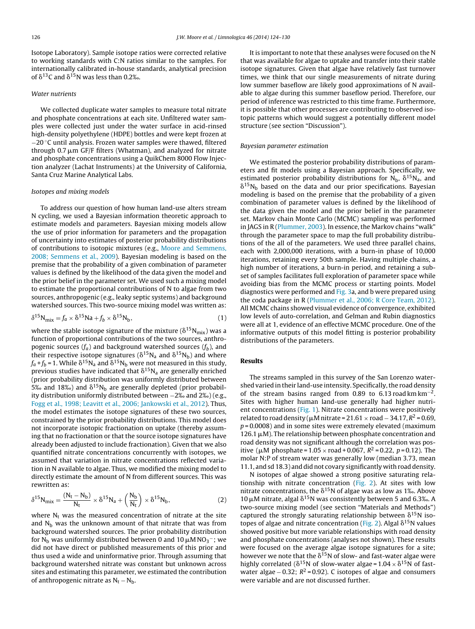Isotope Laboratory). Sample isotope ratios were corrected relative to working standards with C:N ratios similar to the samples. For internationally calibrated in-house standards, analytical precision of  $\delta^{13}$ C and  $\delta^{15}$ N was less than 0.2‰.

#### Water nutrients

We collected duplicate water samples to measure total nitrate and phosphate concentrations at each site. Unfiltered water samples were collected just under the water surface in acid-rinsed high-density polyethylene (HDPE) bottles and were kept frozen at −20 ◦C until analysis. Frozen water samples were thawed, filtered through  $0.7 \mu m$  GF/F filters (Whatman), and analyzed for nitrate and phosphate concentrations using a QuikChem 8000 Flow Injection analyzer (Lachat Instruments) at the University of California, Santa Cruz Marine Analytical Labs.

#### Isotopes and mixing models

To address our question of how human land-use alters stream N cycling, we used a Bayesian information theoretic approach to estimate models and parameters. Bayesian mixing models allow the use of prior information for parameters and the propagation of uncertainty into estimates of posterior probability distributions of contributions to isotopic mixtures (e.g., [Moore](#page-6-0) [and](#page-6-0) [Semmens,](#page-6-0) [2008;](#page-6-0) [Semmens](#page-6-0) et [al.,](#page-6-0) [2009\).](#page-6-0) Bayesian modeling is based on the premise that the probability of a given combination of parameter values is defined by the likelihood of the data given the model and the prior belief in the parameter set. We used such a mixing model to estimate the proportional contributions of N to algae from two sources, anthropogenic (e.g., leaky septic systems) and background watershed sources. This two-source mixing model was written as:

$$
\delta^{15} \mathbf{N}_{\text{mix}} = f_a \times \delta^{15} \mathbf{N} \mathbf{a} + f_b \times \delta^{15} \mathbf{N}_b,\tag{1}
$$

where the stable isotope signature of the mixture ( $\delta^{15}\rm N_{mix}$ ) was a function of proportional contributions of the two sources, anthropogenic sources  $(f_a)$  and background watershed sources  $(f_b)$ , and their respective isotope signatures ( $\delta^{15}\rm N_a$  and  $\delta^{15}\rm N_b$ ) and where  $f_a$ + $f_b$  = 1. While  $\delta^{15}$ N<sub>a</sub> and  $\delta^{15}$ N<sub>b</sub> were not measured in this study, previous studies have indicated that  $\delta^{15}$ N<sub>a</sub> are generally enriched (prior probability distribution was uniformly distributed between 5‰ and 18‰) and  $\delta^{15}N_b$  are generally depleted (prior probabil-<br>ity distribution uniformly distributed between - 2% and 2% ) (e.g. ity distribution uniformly distributed between <sup>−</sup>2‰ and <sup>2</sup>‰) (e.g., [Fogg](#page-6-0) et [al.,](#page-6-0) [1998;](#page-6-0) [Leavitt](#page-6-0) et [al.,](#page-6-0) [2006;](#page-6-0) [Jankowski](#page-6-0) et [al.,](#page-6-0) [2012\).](#page-6-0) Thus, the model estimates the isotope signatures of these two sources, constrained by the prior probability distributions. This model does not incorporate isotopic fractionation on uptake (thereby assuming that no fractionation or that the source isotope signatures have already been adjusted to include fractionation). Given that we also quantified nitrate concentrations concurrently with isotopes, we assumed that variation in nitrate concentrations reflected variation in N available to algae. Thus, we modified the mixing model to directly estimate the amount of N from different sources. This was rewritten as:

$$
\delta^{15} N_{mix} = \frac{(N_t - N_b)}{N_t} \times \delta^{15} N_a + \left(\frac{N_b}{N_t}\right) \times \delta^{15} N_b,
$$
 (2)

where  $N_t$  was the measured concentration of nitrate at the site and  $N<sub>b</sub>$  was the unknown amount of that nitrate that was from background watershed sources. The prior probability distribution for N<sub>b</sub> was uniformly distributed between 0 and 10  $\mu$ M NO<sub>3</sub>−; we did not have direct or published measurements of this prior and thus used a wide and uninformative prior. Through assuming that background watershed nitrate was constant but unknown across sites and estimating this parameter, we estimated the contribution of anthropogenic nitrate as  $N_t - N_b$ .

It is important to note that these analyses were focused on the N that was available for algae to uptake and transfer into their stable isotope signatures. Given that algae have relatively fast turnover times, we think that our single measurements of nitrate during low summer baseflow are likely good approximations of N available to algae during this summer baseflow period. Therefore, our period of inference was restricted to this time frame. Furthermore, it is possible that other processes are contributing to observed isotopic patterns which would suggest a potentially different model structure (see section "Discussion").

#### Bayesian parameter estimation

We estimated the posterior probability distributions of parameters and fit models using a Bayesian approach. Specifically, we estimated posterior probability distributions for  $N_b$ ,  $\delta^{15}N_a$ , and  $\delta^{15}N_b$  based on the data and our prior specifications. Bayesian modeling is based on the premise that the probability of a given combination of parameter values is defined by the likelihood of the data given the model and the prior belief in the parameter set. Markov chain Monte Carlo (MCMC) sampling was performed in JAGS in R [\(Plummer,](#page-6-0) [2003\).](#page-6-0) In essence, the Markov chains "walk" through the parameter space to map the full probability distributions of the all of the parameters. We used three parallel chains, each with 2,000,000 iterations, with a burn-in phase of 10,000 iterations, retaining every 50th sample. Having multiple chains, a high number of iterations, a burn-in period, and retaining a subset of samples facilitates full exploration of parameter space while avoiding bias from the MCMC process or starting points. Model diagnostics were performed and [Fig.](#page-3-0) 3a, and b were prepared using the coda package in R ([Plummer](#page-6-0) et [al.,](#page-6-0) [2006;](#page-6-0) [R](#page-6-0) [Core](#page-6-0) [Team,](#page-6-0) [2012\).](#page-6-0) All MCMC chains showed visual evidence of convergence, exhibited low levels of auto-correlation, and Gelman and Rubin diagnostics were all at 1, evidence of an effective MCMC procedure. One of the informative outputs of this model fitting is posterior probability distributions of the parameters.

#### **Results**

The streams sampled in this survey of the San Lorenzo watershed varied in their land-use intensity. Specifically, the road density of the stream basins ranged from 0.89 to 6.13 road km km<sup>-2</sup>. Sites with higher human land-use generally had higher nutri-ent concentrations [\(Fig.](#page-3-0) 1). Nitrate concentrations were positively related to road density ( $\mu$ M nitrate = 21.61 × road – 34.17,  $R^2$  = 0.69,  $p = 0.0008$ ) and in some sites were extremely elevated (maximum 126.1  $\mu$ M). The relationship between phosphate concentration and road density was not significant although the correlation was positive ( $\mu$ M phosphate = 1.05  $\times$  road + 0.067,  $R^2$  = 0.22,  $p$  = 0.12). The molar N:P of stream water was generally low (median 3.73, mean 11.1, and sd 18.3) and did not covary significantly with road density.

N isotopes of algae showed a strong positive saturating relationship with nitrate concentration [\(Fig.](#page-3-0) 2). At sites with low nitrate concentrations, the  $\delta^{15}$ N of algae was as low as 1‰. Above<br>10 uM pitrate algal  $\delta^{15}$ N was consistently between 5 and 6.3%. A  $10 \mu$ M nitrate, algal  $\delta^{15}$ N was consistently between 5 and 6.3‰. A<br>two source mixing model (see section "Materials and Methods") two-source mixing model (see section "Materials and Methods") captured the strongly saturating relationship between  $\delta^{15}N$  iso-topes of algae and nitrate concentration [\(Fig.](#page-3-0) 2). Algal  $\delta^{15}N$  values showed positive but more variable relationships with road density and phosphate concentrations (analyses not shown). These results were focused on the average algae isotope signatures for a site; however we note that the  $\delta^{15}$ N of slow- and fast-water algae were highly correlated ( $\delta^{15}N$  of slow-water algae = 1.04  $\times$   $\delta^{15}N$  of fastwater algae – 0.32;  $R^2$  = 0.92). C isotopes of algae and consumers were variable and are not discussed further.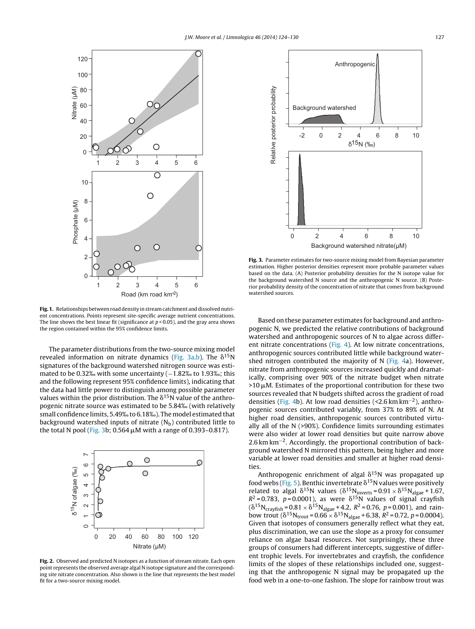<span id="page-3-0"></span>

**Fig. 1.** Relationships between road density in stream catchment and dissolved nutrient concentrations. Points represent site-specific average nutrient concentrations. The line shows the best linear fit (significance at  $p < 0.05$ ), and the gray area shows the region contained within the 95% confidence limits.

The parameter distributions from the two-source mixing model revealed information on nitrate dynamics (Fig. 3a,b). The  $\delta^{15}N$ signatures of the background watershed nitrogen source was estimated to be 0.32‰ with some uncertainty (-1.82‰ to 1.93‰; this and the following represent 95% confidence limits), indicating that the data had little power to distinguish among possible parameter values within the prior distribution. The  $\delta^{15}$ N value of the anthropogenic nitrate source was estimated to be 5.84‰ (with relatively small confidence limits, 5.49‰to 6.18‰). The model estimated that background watershed inputs of nitrate  $(N_b)$  contributed little to the total N pool (Fig. 3b; 0.564  $\mu$ M with a range of 0.393–0.817).



**Fig. 2.** Observed and predicted N isotopes as a function of stream nitrate. Each open point represents the observed average algal N isotope signature and the corresponding site nitrate concentration. Also shown is the line that represents the best model fit for a two-source mixing model.



**Fig. 3.** Parameter estimates for two-source mixing model from Bayesian parameter estimation. Higher posterior densities represent more probable parameter values based on the data. (A) Posterior probability densities for the N isotope value for the background watershed N source and the anthropogenic N source. (B) Posterior probability density of the concentration of nitrate that comes from background watershed sources.

Based on these parameter estimates for background and anthropogenic N, we predicted the relative contributions of background watershed and anthropogenic sources of N to algae across different nitrate concentrations [\(Fig.](#page-4-0) 4). At low nitrate concentrations, anthropogenic sources contributed little while background watershed nitrogen contributed the majority of N [\(Fig.](#page-4-0) 4a). However, nitrate from anthropogenic sources increased quickly and dramatically, comprising over 90% of the nitrate budget when nitrate  $>10 \mu$ M. Estimates of the proportional contribution for these two sources revealed that N budgets shifted across the gradient of road densities [\(Fig.](#page-4-0) 4b). At low road densities (<2.6 km km−2), anthropogenic sources contributed variably, from 37% to 89% of N. At higher road densities, anthropogenic sources contributed virtually all of the N (>90%). Confidence limits surrounding estimates were also wider at lower road densities but quite narrow above 2.6 km km<sup>-2</sup>. Accordingly, the proportional contribution of background watershed N mirrored this pattern, being higher and more variable at lower road densities and smaller at higher road densities.

Anthropogenic enrichment of algal  $\delta^{15}$ N was propagated up food webs [\(Fig.](#page-4-0) 5). Benthic invertebrate  $\delta^{15}$ N values were positively related to algal  $\delta^{15}N$  values  $(\delta^{15}N_{\text{inverse}} = 0.91 \times \delta^{15}N_{\text{algae}} + 1.67)$  $R^2$  = 0.783, p=0.0001), as were  $\delta^{15}$ N values of signal crayfish  $(\delta^{15}N_{crayfish} = 0.81 \times \delta^{15}N_{algae} + 4.2, R^2 = 0.76, p = 0.001)$ , and rainbow trout  $(\delta^{15}N_{\text{trout}} = 0.66 \times \delta^{15}N_{\text{algae}} + 6.38, R^2 = 0.72, p = 0.0004)$ . Given that isotopes of consumers generally reflect what they eat, plus discrimination, we can use the slope as a proxy for consumer reliance on algae basal resources. Not surprisingly, these three groups of consumers had different intercepts, suggestive of different trophic levels. For invertebrates and crayfish, the confidence limits of the slopes of these relationships included one, suggesting that the anthropogenic N signal may be propagated up the food web in a one-to-one fashion. The slope for rainbow trout was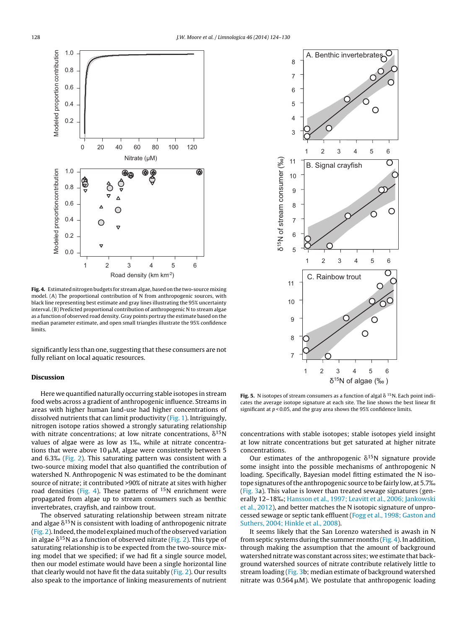<span id="page-4-0"></span>

**Fig. 4.** Estimated nitrogen budgets for stream algae, based on the two-source mixing model. (A) The proportional contribution of N from anthropogenic sources, with black line representing best estimate and gray lines illustrating the 95% uncertainty interval. (B) Predicted proportional contribution of anthropogenic N to stream algae as a function of observed road density. Gray points portray the estimate based on the median parameter estimate, and open small triangles illustrate the 95% confidence limits.

significantly less than one, suggesting that these consumers are not fully reliant on local aquatic resources.

#### **Discussion**

Here we quantified naturally occurring stable isotopes in stream food webs across a gradient of anthropogenic influence. Streams in areas with higher human land-use had higher concentrations of dissolved nutrients that can limit productivity [\(Fig.](#page-3-0) 1). Intriguingly, nitrogen isotope ratios showed a strongly saturating relationship with nitrate concentrations; at low nitrate concentrations,  $\delta^{15}$ N values of algae were as low as <sup>1</sup>‰, while at nitrate concentrations that were above 10  $\mu$ M, algae were consistently between 5 and 6.3‰ [\(Fig.](#page-3-0) 2). This saturating pattern was consistent with <sup>a</sup> two-source mixing model that also quantified the contribution of watershed N. Anthropogenic N was estimated to be the dominant source of nitrate; it contributed >90% of nitrate at sites with higher road densities (Fig. 4). These patterns of  $^{15}N$  enrichment were propagated from algae up to stream consumers such as benthic invertebrates, crayfish, and rainbow trout.

The observed saturating relationship between stream nitrate and algae  $\delta^{15}$ N is consistent with loading of anthropogenic nitrate ([Fig.](#page-3-0) 2). Indeed, the model explained much of the observed variation in algae  $\delta^{15}$ N as a function of observed nitrate ([Fig.](#page-3-0) 2). This type of saturating relationship is to be expected from the two-source mixing model that we specified; if we had fit a single source model, then our model estimate would have been a single horizontal line that clearly would not have fit the data suitably [\(Fig.](#page-3-0) 2). Our results also speak to the importance of linking measurements of nutrient



**Fig. 5.** N isotopes of stream consumers as a function of algal  $\delta$  <sup>15</sup>N. Each point indicates the average isotope signature at each site. The line shows the best linear fit significant at  $p < 0.05$ , and the gray area shows the 95% confidence limits.

concentrations with stable isotopes; stable isotopes yield insight at low nitrate concentrations but get saturated at higher nitrate concentrations.

Our estimates of the anthropogenic  $\delta^{15}N$  signature provide some insight into the possible mechanisms of anthropogenic N loading. Specifically, Bayesian model fitting estimated the N isotope signatures of the anthropogenic source to be fairly low, at 5.7% [\(Fig.](#page-3-0) 3a). This value is lower than treated sewage signatures (generally 12–18‰; [Hansson](#page-6-0) et [al.,](#page-6-0) [1997;](#page-6-0) [Leavitt](#page-6-0) et [al.,](#page-6-0) [2006;](#page-6-0) [Jankowski](#page-6-0) et [al.,](#page-6-0) [2012\),](#page-6-0) and better matches the N isotopic signature of unprocessed sewage or septic tank effluent [\(Fogg](#page-6-0) et [al.,](#page-6-0) [1998;](#page-6-0) [Gaston](#page-6-0) [and](#page-6-0) [Suthers,](#page-6-0) [2004;](#page-6-0) [Hinkle](#page-6-0) et [al.,](#page-6-0) [2008\).](#page-6-0)

It seems likely that the San Lorenzo watershed is awash in N from septic systems during the summer months  $(Fig. 4)$ . In addition, through making the assumption that the amount of background watershed nitrate was constant across sites; we estimate that background watershed sources of nitrate contribute relatively little to stream loading ([Fig.](#page-3-0) 3b; median estimate of background watershed nitrate was  $0.564 \mu M$ ). We postulate that anthropogenic loading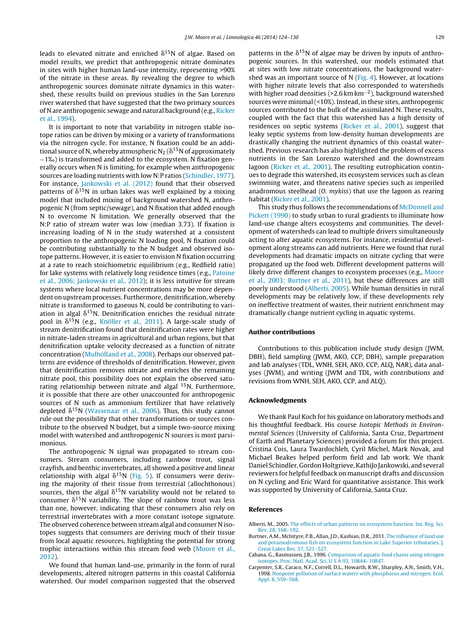<span id="page-5-0"></span>leads to elevated nitrate and enriched  $\delta^{15}N$  of algae. Based on model results, we predict that anthropogenic nitrate dominates in sites with higher human land-use intensity, representing >90% of the nitrate in these areas. By revealing the degree to which anthropogenic sources dominate nitrate dynamics in this watershed, these results build on previous studies in the San Lorenzo river watershed that have suggested that the two primary sources of N are anthropogenic sewage and natural background (e.g., [Ricker](#page-6-0) et [al.,](#page-6-0) [1994\).](#page-6-0)

It is important to note that variability in nitrogen stable isotope ratios can be driven by mixing or a variety of transformations via the nitrogen cycle. For instance, N fixation could be an additional source of N, whereby atmospheric N $_2$  (  $\delta^{15}$  N of approximately <sup>−</sup>1‰) is transformed and added to the ecosystem. <sup>N</sup> fixation generally occurs when N is limiting, for example when anthropogenic sources are loading nutrients with low N:P ratios ([Schindler,](#page-6-0) [1977\).](#page-6-0) For instance, [Jankowski](#page-6-0) et [al.](#page-6-0) [\(2012\)](#page-6-0) found that their observed patterns of  $\delta^{15}N$  in urban lakes was well explained by a mixing model that included mixing of background watershed N, anthropogenic N (from septic/sewage), and N fixation that added enough N to overcome N limitation. We generally observed that the N:P ratio of stream water was low (median 3.73). If fixation is increasing loading of N in the study watershed at a consistent proportion to the anthropogenic N loading pool, N fixation could be contributing substantially to the N budget and observed isotope patterns. However, it is easier to envision N fixation occurring at a rate to reach stoichiometric equilibrium (e.g., Redfield ratio) for lake systems with relatively long residence times (e.g., [Patoine](#page-6-0) et [al.,](#page-6-0) [2006;](#page-6-0) [Jankowski](#page-6-0) et [al.,](#page-6-0) [2012\);](#page-6-0) it is less intuitive for stream systems where local nutrient concentrations may be more dependent on upstream processes. Furthermore, denitrification, whereby nitrate is transformed to gaseous N, could be contributing to variation in algal  $\delta^{15}$ N. Denitrification enriches the residual nitrate pool in  $\delta^{15}$ N (e.g., [Knöller](#page-6-0) et [al.,](#page-6-0) [2011\).](#page-6-0) A large-scale study of stream denitrification found that denitrification rates were higher in nitrate-laden streams in agricultural and urban regions, but that denitrification uptake velocity decreased as a function of nitrate concentration ([Mulholland](#page-6-0) et [al.,](#page-6-0) [2008\).](#page-6-0) Perhaps our observed patterns are evidence of thresholds of denitrification. However, given that denitrification removes nitrate and enriches the remaining nitrate pool, this possibility does not explain the observed saturating relationship between nitrate and algal <sup>15</sup>N. Furthermore, it is possible that there are other unaccounted for anthropogenic sources of N such as ammonium fertilizer that have relatively depleted  $\delta^{15}$ N ([Wassenaar](#page-6-0) et [al.,](#page-6-0) [2006\).](#page-6-0) Thus, this study cannot rule out the possibility that other transformations or sources contribute to the observed N budget, but a simple two-source mixing model with watershed and anthropogenic N sources is most parsimonious.

The anthropogenic N signal was propagated to stream consumers. Stream consumers, including rainbow trout, signal crayfish, and benthic invertebrates, all showed a positive and linear relationship with algal  $\delta^{15}N$  [\(Fig.](#page-4-0) 5). If consumers were deriving the majority of their tissue from terrestrial (allochthonous) sources, then the algal  $\delta^{15}N$  variability would not be related to consumer  $\delta^{15}N$  variability. The slope of rainbow trout was less than one, however, indicating that these consumers also rely on terrestrial invertebrates with a more constant isotope signature. The observed coherence between stream algal and consumer N isotopes suggests that consumers are deriving much of their tissue from local aquatic resources, highlighting the potential for strong trophic interactions within this stream food web ([Moore](#page-6-0) et [al.,](#page-6-0) [2012\).](#page-6-0)

We found that human land-use, primarily in the form of rural developments, altered nitrogen patterns in this coastal California watershed. Our model comparison suggested that the observed

patterns in the  $\delta^{15}$ N of algae may be driven by inputs of anthropogenic sources. In this watershed, our models estimated that at sites with low nitrate concentrations, the background watershed was an important source of N ([Fig.](#page-4-0) 4). However, at locations with higher nitrate levels that also corresponded to watersheds with higher road densities (>2.6 km km−2), background watershed sources were minimal(<10%). Instead, in these sites, anthropogenic sources contributed to the bulk of the assimilated N. These results, coupled with the fact that this watershed has a high density of residences on septic systems [\(Ricker](#page-6-0) et [al.,](#page-6-0) [2001\),](#page-6-0) suggest that leaky septic systems from low-density human developments are drastically changing the nutrient dynamics of this coastal watershed. Previous research has also highlighted the problem of excess nutrients in the San Lorenzo watershed and the downstream lagoon [\(Ricker](#page-6-0) et [al.,](#page-6-0) [2001\).](#page-6-0) The resulting eutrophication continues to degrade this watershed, its ecosystem services such as clean swimming water, and threatens native species such as imperiled anadromous steelhead (O. mykiss) that use the lagoon as rearing habitat [\(Ricker](#page-6-0) et [al.,](#page-6-0) [2001\).](#page-6-0)

This study thus follows the recommendations of [McDonnell](#page-6-0) [and](#page-6-0) [Pickett](#page-6-0) [\(1990\)](#page-6-0) to study urban to rural gradients to illuminate how land-use change alters ecosystems and communities. The development of watersheds can lead to multiple drivers simultaneously acting to alter aquatic ecosystems. For instance, residential development along streams can add nutrients. Here we found that rural developments had dramatic impacts on nitrate cycling that were propagated up the food web. Different development patterns will likely drive different changes to ecosystem processes (e.g., [Moore](#page-6-0) et [al.,](#page-6-0) [2003;](#page-6-0) [Burtner](#page-6-0) et [al.,](#page-6-0) [2011\),](#page-6-0) but these differences are still poorly understood (Alberti, 2005). While human densities in rural developments may be relatively low, if these developments rely on ineffective treatment of wastes, their nutrient enrichment may dramatically change nutrient cycling in aquatic systems.

#### **Author contributions**

Contributions to this publication include study design (JWM, DBH), field sampling (JWM, AKO, CCP, DBH), sample preparation and lab analyses (TDL, WNH, SEH, AKO, CCP, ALQ, NAR), data analyses (JWM), and writing (JWM and TDL, with contributions and revisions from WNH, SEH, AKO, CCP, and ALQ).

#### **Acknowledgments**

We thank Paul Koch for his guidance on laboratory methods and his thoughtful feedback. His course Isotopic Methods in Environmental Sciences (University of California, Santa Cruz, Department of Earth and Planetary Sciences) provided a forum for this project. Cristina Cois, Laura Twardochleb, Cyril Michel, Mark Novak, and Michael Beakes helped perform field and lab work. We thank Daniel Schindler, Gordon Holtgrieve, KathiJo Jankowski, and several reviewers for helpful feedback on manuscript drafts and discussion on N cycling and Eric Ward for quantitative assistance. This work was supported by University of California, Santa Cruz.

#### **References**

- Alberti, M., 2005. [The](http://refhub.elsevier.com/S0075-9511(14)00008-5/sbref0005) [effects](http://refhub.elsevier.com/S0075-9511(14)00008-5/sbref0005) [of](http://refhub.elsevier.com/S0075-9511(14)00008-5/sbref0005) [urban](http://refhub.elsevier.com/S0075-9511(14)00008-5/sbref0005) [patterns](http://refhub.elsevier.com/S0075-9511(14)00008-5/sbref0005) [on](http://refhub.elsevier.com/S0075-9511(14)00008-5/sbref0005) [ecosystem](http://refhub.elsevier.com/S0075-9511(14)00008-5/sbref0005) [function.](http://refhub.elsevier.com/S0075-9511(14)00008-5/sbref0005) [Int.](http://refhub.elsevier.com/S0075-9511(14)00008-5/sbref0005) [Reg.](http://refhub.elsevier.com/S0075-9511(14)00008-5/sbref0005) [Sci.](http://refhub.elsevier.com/S0075-9511(14)00008-5/sbref0005) [Rev.](http://refhub.elsevier.com/S0075-9511(14)00008-5/sbref0005) [28,](http://refhub.elsevier.com/S0075-9511(14)00008-5/sbref0005) [168–192.](http://refhub.elsevier.com/S0075-9511(14)00008-5/sbref0005)
- Burtner, A.M., McIntyre, P.B., Allan, J.D., Kashian, D.R., 2011. [The](http://refhub.elsevier.com/S0075-9511(14)00008-5/sbref0010) [influence](http://refhub.elsevier.com/S0075-9511(14)00008-5/sbref0010) [of](http://refhub.elsevier.com/S0075-9511(14)00008-5/sbref0010) [land](http://refhub.elsevier.com/S0075-9511(14)00008-5/sbref0010) [use](http://refhub.elsevier.com/S0075-9511(14)00008-5/sbref0010) [and](http://refhub.elsevier.com/S0075-9511(14)00008-5/sbref0010) [potamodromous](http://refhub.elsevier.com/S0075-9511(14)00008-5/sbref0010) [fish](http://refhub.elsevier.com/S0075-9511(14)00008-5/sbref0010) [on](http://refhub.elsevier.com/S0075-9511(14)00008-5/sbref0010) [ecosystem](http://refhub.elsevier.com/S0075-9511(14)00008-5/sbref0010) [function](http://refhub.elsevier.com/S0075-9511(14)00008-5/sbref0010) [in](http://refhub.elsevier.com/S0075-9511(14)00008-5/sbref0010) [Lake](http://refhub.elsevier.com/S0075-9511(14)00008-5/sbref0010) [Superior](http://refhub.elsevier.com/S0075-9511(14)00008-5/sbref0010) [tributaries.](http://refhub.elsevier.com/S0075-9511(14)00008-5/sbref0010) [J.](http://refhub.elsevier.com/S0075-9511(14)00008-5/sbref0010) [Great](http://refhub.elsevier.com/S0075-9511(14)00008-5/sbref0010) [Lakes](http://refhub.elsevier.com/S0075-9511(14)00008-5/sbref0010) [Res.](http://refhub.elsevier.com/S0075-9511(14)00008-5/sbref0010) [37,](http://refhub.elsevier.com/S0075-9511(14)00008-5/sbref0010) [521](http://refhub.elsevier.com/S0075-9511(14)00008-5/sbref0010)–[527.](http://refhub.elsevier.com/S0075-9511(14)00008-5/sbref0010)
- Cabana, G., Rasmussen, J.B., 1996. [Comparison](http://refhub.elsevier.com/S0075-9511(14)00008-5/sbref0015) [of](http://refhub.elsevier.com/S0075-9511(14)00008-5/sbref0015) [aquatic](http://refhub.elsevier.com/S0075-9511(14)00008-5/sbref0015) [food](http://refhub.elsevier.com/S0075-9511(14)00008-5/sbref0015) [chains](http://refhub.elsevier.com/S0075-9511(14)00008-5/sbref0015) [using](http://refhub.elsevier.com/S0075-9511(14)00008-5/sbref0015) [nitrogen](http://refhub.elsevier.com/S0075-9511(14)00008-5/sbref0015) [isotopes.](http://refhub.elsevier.com/S0075-9511(14)00008-5/sbref0015) [Proc.](http://refhub.elsevier.com/S0075-9511(14)00008-5/sbref0015) [Natl.](http://refhub.elsevier.com/S0075-9511(14)00008-5/sbref0015) [Acad.](http://refhub.elsevier.com/S0075-9511(14)00008-5/sbref0015) [Sci.](http://refhub.elsevier.com/S0075-9511(14)00008-5/sbref0015) [U](http://refhub.elsevier.com/S0075-9511(14)00008-5/sbref0015) [S](http://refhub.elsevier.com/S0075-9511(14)00008-5/sbref0015) [A](http://refhub.elsevier.com/S0075-9511(14)00008-5/sbref0015) [93,](http://refhub.elsevier.com/S0075-9511(14)00008-5/sbref0015) [10844–10847.](http://refhub.elsevier.com/S0075-9511(14)00008-5/sbref0015)
- Carpenter, S.R., Caraco, N.F., Correll, D.L., Howarth, R.W., Sharpley, A.N., Smith, V.H., 1998. [Nonpoint](http://refhub.elsevier.com/S0075-9511(14)00008-5/sbref0020) [pollution](http://refhub.elsevier.com/S0075-9511(14)00008-5/sbref0020) [of](http://refhub.elsevier.com/S0075-9511(14)00008-5/sbref0020) [surface](http://refhub.elsevier.com/S0075-9511(14)00008-5/sbref0020) [waters](http://refhub.elsevier.com/S0075-9511(14)00008-5/sbref0020) [with](http://refhub.elsevier.com/S0075-9511(14)00008-5/sbref0020) [phosphorus](http://refhub.elsevier.com/S0075-9511(14)00008-5/sbref0020) [and](http://refhub.elsevier.com/S0075-9511(14)00008-5/sbref0020) [nitrogen.](http://refhub.elsevier.com/S0075-9511(14)00008-5/sbref0020) [Ecol.](http://refhub.elsevier.com/S0075-9511(14)00008-5/sbref0020) [Appl.](http://refhub.elsevier.com/S0075-9511(14)00008-5/sbref0020) [8,](http://refhub.elsevier.com/S0075-9511(14)00008-5/sbref0020) [559–568.](http://refhub.elsevier.com/S0075-9511(14)00008-5/sbref0020)